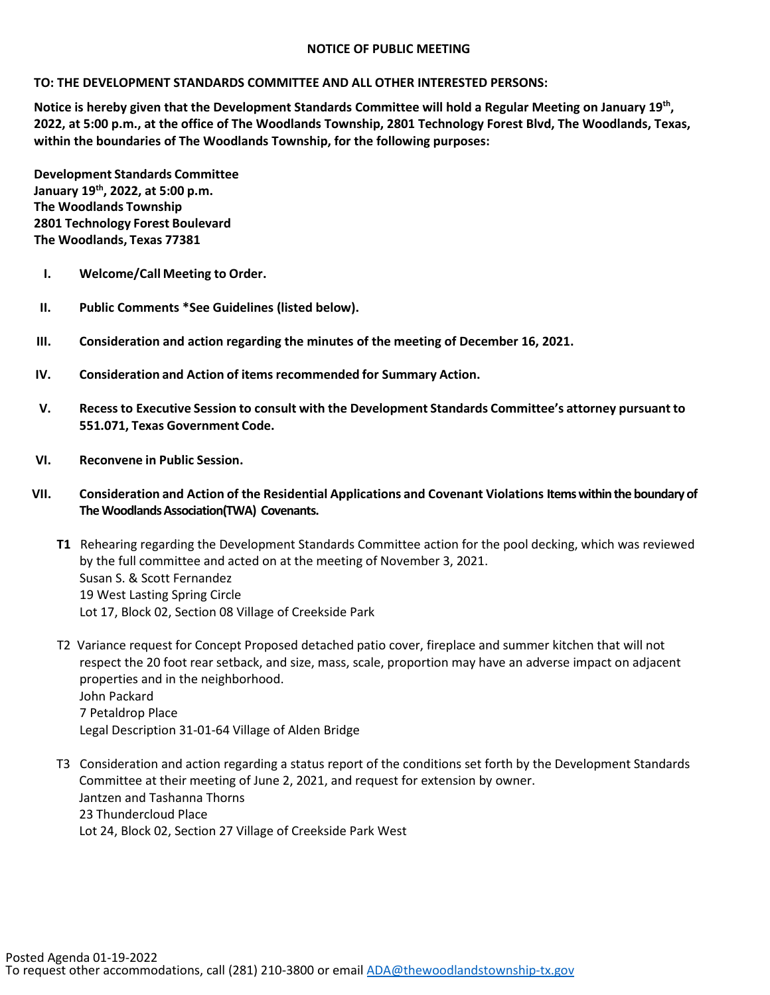## **NOTICE OF PUBLIC MEETING**

## **TO: THE DEVELOPMENT STANDARDS COMMITTEE AND ALL OTHER INTERESTED PERSONS:**

**Notice is hereby given that the Development Standards Committee will hold a Regular Meeting on January 19th, 2022, at 5:00 p.m., at the office of The Woodlands Township, 2801 Technology Forest Blvd, The Woodlands, Texas, within the boundaries of The Woodlands Township, for the following purposes:**

**Development Standards Committee January 19th, 2022, at 5:00 p.m. The Woodlands Township 2801 Technology Forest Boulevard The Woodlands, Texas 77381**

- **I. Welcome/Call Meeting to Order.**
- **II. Public Comments \*See Guidelines (listed below).**
- **III. Consideration and action regarding the minutes of the meeting of December 16, 2021.**
- **IV. Consideration and Action of items recommended for Summary Action.**
- **V. Recessto Executive Session to consult with the Development Standards Committee's attorney pursuant to 551.071, Texas Government Code.**
- **VI. Reconvene in Public Session.**
- **VII. Consideration and Action of the Residential Applications and Covenant Violations Items within the boundary of The Woodlands Association(TWA) Covenants.** 
	- **T1** Rehearing regarding the Development Standards Committee action for the pool decking, which was reviewed by the full committee and acted on at the meeting of November 3, 2021. Susan S. & Scott Fernandez 19 West Lasting Spring Circle Lot 17, Block 02, Section 08 Village of Creekside Park
	- T2 Variance request for Concept Proposed detached patio cover, fireplace and summer kitchen that will not respect the 20 foot rear setback, and size, mass, scale, proportion may have an adverse impact on adjacent properties and in the neighborhood. John Packard 7 Petaldrop Place Legal Description 31-01-64 Village of Alden Bridge
	- T3 Consideration and action regarding a status report of the conditions set forth by the Development Standards Committee at their meeting of June 2, 2021, and request for extension by owner. Jantzen and Tashanna Thorns 23 Thundercloud Place Lot 24, Block 02, Section 27 Village of Creekside Park West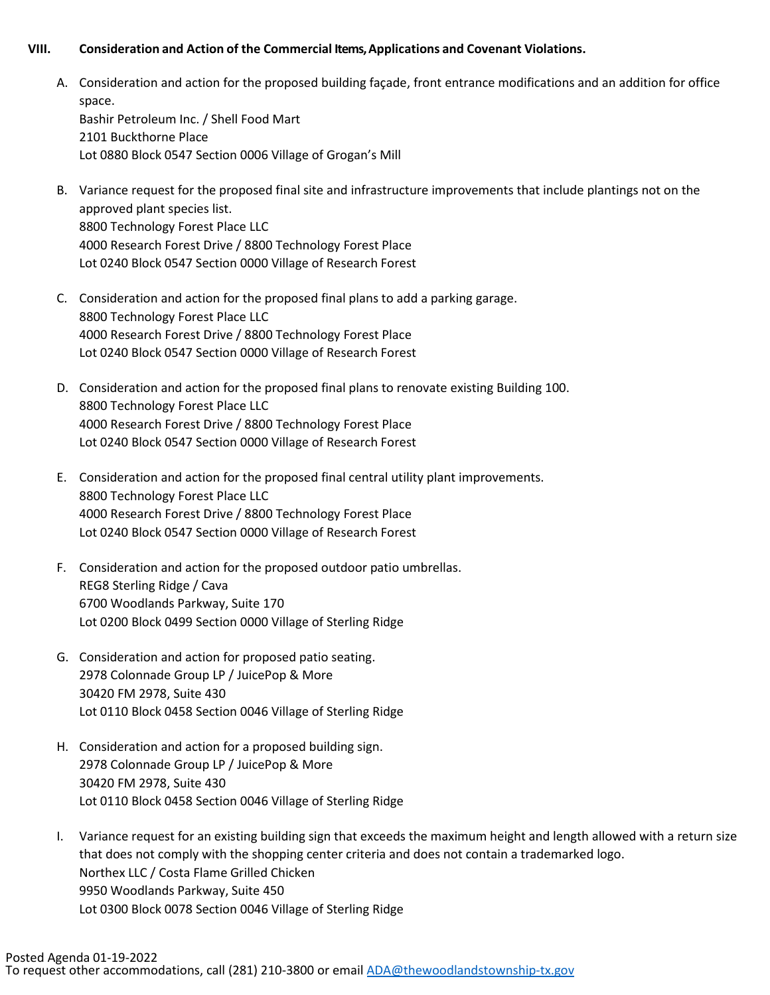## **VIII. Consideration and Action of the Commercial Items, Applications and Covenant Violations.**

- A. Consideration and action for the proposed building façade, front entrance modifications and an addition for office space. Bashir Petroleum Inc. / Shell Food Mart 2101 Buckthorne Place Lot 0880 Block 0547 Section 0006 Village of Grogan's Mill
- B. Variance request for the proposed final site and infrastructure improvements that include plantings not on the approved plant species list. 8800 Technology Forest Place LLC 4000 Research Forest Drive / 8800 Technology Forest Place Lot 0240 Block 0547 Section 0000 Village of Research Forest
- C. Consideration and action for the proposed final plans to add a parking garage. 8800 Technology Forest Place LLC 4000 Research Forest Drive / 8800 Technology Forest Place Lot 0240 Block 0547 Section 0000 Village of Research Forest
- D. Consideration and action for the proposed final plans to renovate existing Building 100. 8800 Technology Forest Place LLC 4000 Research Forest Drive / 8800 Technology Forest Place Lot 0240 Block 0547 Section 0000 Village of Research Forest
- E. Consideration and action for the proposed final central utility plant improvements. 8800 Technology Forest Place LLC 4000 Research Forest Drive / 8800 Technology Forest Place Lot 0240 Block 0547 Section 0000 Village of Research Forest
- F. Consideration and action for the proposed outdoor patio umbrellas. REG8 Sterling Ridge / Cava 6700 Woodlands Parkway, Suite 170 Lot 0200 Block 0499 Section 0000 Village of Sterling Ridge
- G. Consideration and action for proposed patio seating. 2978 Colonnade Group LP / JuicePop & More 30420 FM 2978, Suite 430 Lot 0110 Block 0458 Section 0046 Village of Sterling Ridge
- H. Consideration and action for a proposed building sign. 2978 Colonnade Group LP / JuicePop & More 30420 FM 2978, Suite 430 Lot 0110 Block 0458 Section 0046 Village of Sterling Ridge
- I. Variance request for an existing building sign that exceeds the maximum height and length allowed with a return size that does not comply with the shopping center criteria and does not contain a trademarked logo. Northex LLC / Costa Flame Grilled Chicken 9950 Woodlands Parkway, Suite 450 Lot 0300 Block 0078 Section 0046 Village of Sterling Ridge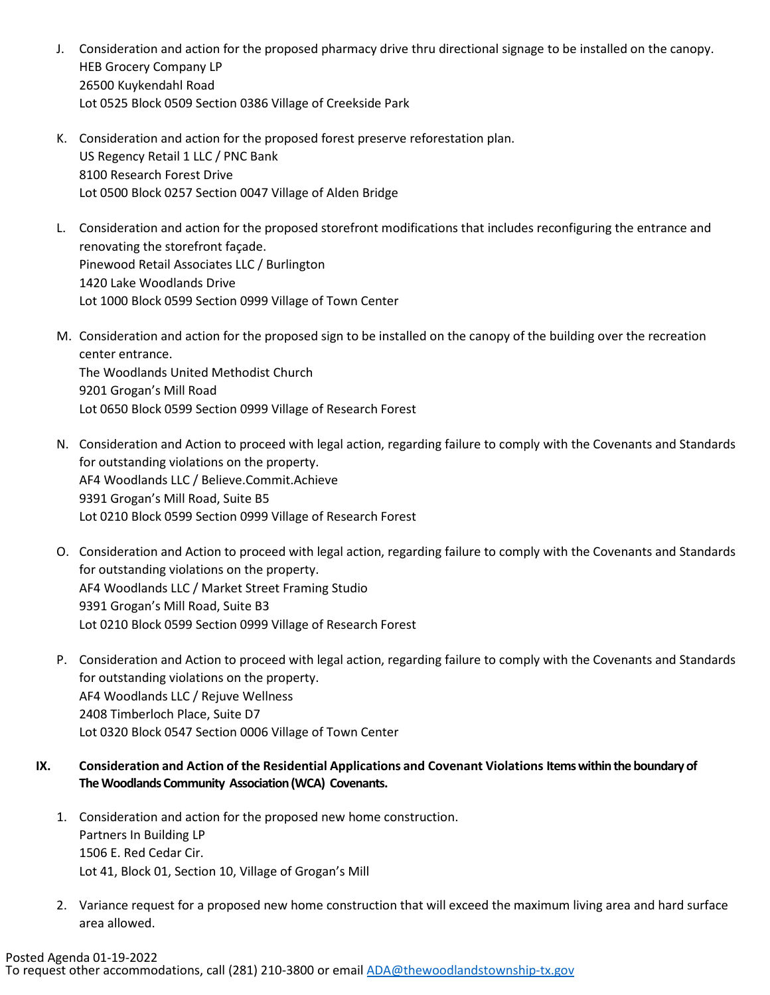- J. Consideration and action for the proposed pharmacy drive thru directional signage to be installed on the canopy. HEB Grocery Company LP 26500 Kuykendahl Road Lot 0525 Block 0509 Section 0386 Village of Creekside Park
- K. Consideration and action for the proposed forest preserve reforestation plan. US Regency Retail 1 LLC / PNC Bank 8100 Research Forest Drive Lot 0500 Block 0257 Section 0047 Village of Alden Bridge
- L. Consideration and action for the proposed storefront modifications that includes reconfiguring the entrance and renovating the storefront façade. Pinewood Retail Associates LLC / Burlington 1420 Lake Woodlands Drive Lot 1000 Block 0599 Section 0999 Village of Town Center
- M. Consideration and action for the proposed sign to be installed on the canopy of the building over the recreation center entrance. The Woodlands United Methodist Church 9201 Grogan's Mill Road Lot 0650 Block 0599 Section 0999 Village of Research Forest
- N. Consideration and Action to proceed with legal action, regarding failure to comply with the Covenants and Standards for outstanding violations on the property. AF4 Woodlands LLC / Believe.Commit.Achieve 9391 Grogan's Mill Road, Suite B5 Lot 0210 Block 0599 Section 0999 Village of Research Forest
- O. Consideration and Action to proceed with legal action, regarding failure to comply with the Covenants and Standards for outstanding violations on the property. AF4 Woodlands LLC / Market Street Framing Studio 9391 Grogan's Mill Road, Suite B3 Lot 0210 Block 0599 Section 0999 Village of Research Forest
- P. Consideration and Action to proceed with legal action, regarding failure to comply with the Covenants and Standards for outstanding violations on the property. AF4 Woodlands LLC / Rejuve Wellness 2408 Timberloch Place, Suite D7 Lot 0320 Block 0547 Section 0006 Village of Town Center
- **IX. Consideration and Action of the Residential Applications and Covenant Violations Items within the boundary of The Woodlands Community Association (WCA) Covenants.** 
	- 1. Consideration and action for the proposed new home construction. Partners In Building LP 1506 E. Red Cedar Cir. Lot 41, Block 01, Section 10, Village of Grogan's Mill
	- 2. Variance request for a proposed new home construction that will exceed the maximum living area and hard surface area allowed.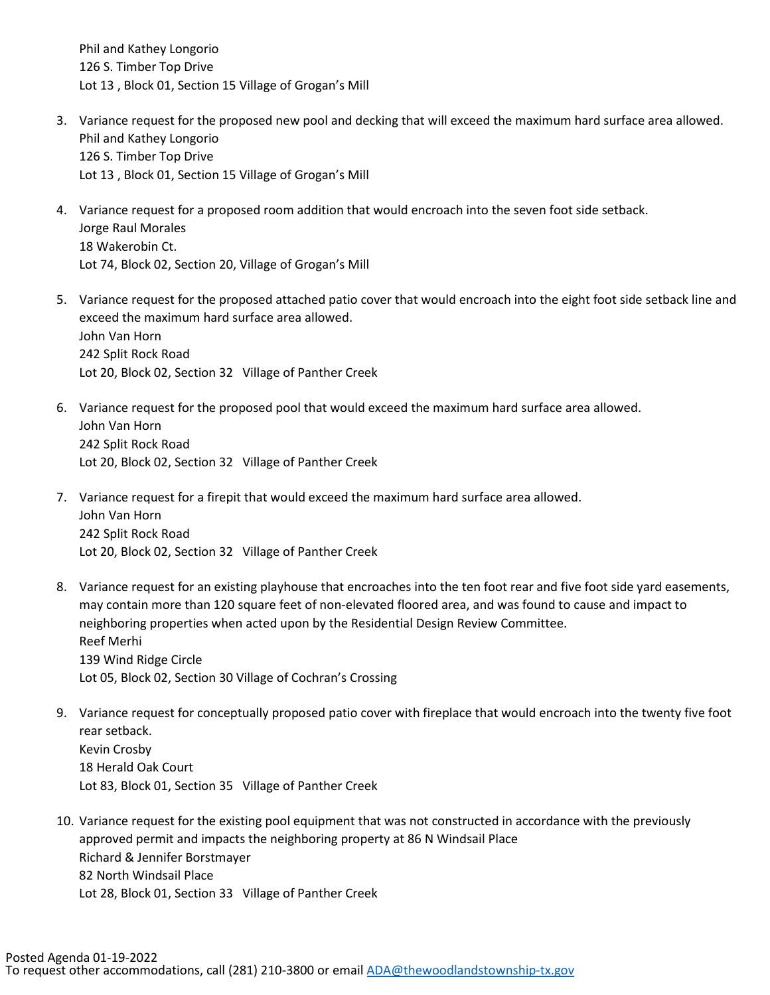Phil and Kathey Longorio 126 S. Timber Top Drive Lot 13 , Block 01, Section 15 Village of Grogan's Mill

- 3. Variance request for the proposed new pool and decking that will exceed the maximum hard surface area allowed. Phil and Kathey Longorio 126 S. Timber Top Drive Lot 13 , Block 01, Section 15 Village of Grogan's Mill
- 4. Variance request for a proposed room addition that would encroach into the seven foot side setback. Jorge Raul Morales 18 Wakerobin Ct. Lot 74, Block 02, Section 20, Village of Grogan's Mill
- 5. Variance request for the proposed attached patio cover that would encroach into the eight foot side setback line and exceed the maximum hard surface area allowed. John Van Horn 242 Split Rock Road Lot 20, Block 02, Section 32 Village of Panther Creek
- 6. Variance request for the proposed pool that would exceed the maximum hard surface area allowed. John Van Horn 242 Split Rock Road Lot 20, Block 02, Section 32 Village of Panther Creek
- 7. Variance request for a firepit that would exceed the maximum hard surface area allowed. John Van Horn 242 Split Rock Road Lot 20, Block 02, Section 32 Village of Panther Creek
- 8. Variance request for an existing playhouse that encroaches into the ten foot rear and five foot side yard easements, may contain more than 120 square feet of non-elevated floored area, and was found to cause and impact to neighboring properties when acted upon by the Residential Design Review Committee. Reef Merhi 139 Wind Ridge Circle Lot 05, Block 02, Section 30 Village of Cochran's Crossing
- 9. Variance request for conceptually proposed patio cover with fireplace that would encroach into the twenty five foot rear setback. Kevin Crosby 18 Herald Oak Court Lot 83, Block 01, Section 35 Village of Panther Creek
- 10. Variance request for the existing pool equipment that was not constructed in accordance with the previously approved permit and impacts the neighboring property at 86 N Windsail Place Richard & Jennifer Borstmayer 82 North Windsail Place Lot 28, Block 01, Section 33 Village of Panther Creek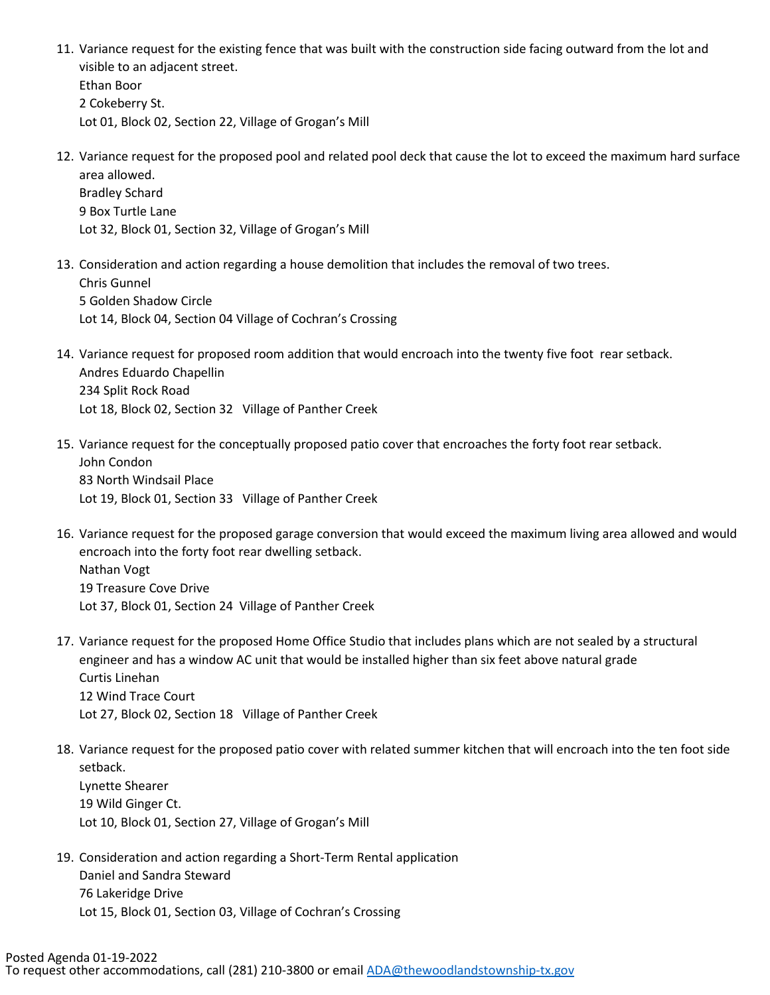- 11. Variance request for the existing fence that was built with the construction side facing outward from the lot and visible to an adjacent street. Ethan Boor 2 Cokeberry St. Lot 01, Block 02, Section 22, Village of Grogan's Mill
- 12. Variance request for the proposed pool and related pool deck that cause the lot to exceed the maximum hard surface area allowed. Bradley Schard

9 Box Turtle Lane Lot 32, Block 01, Section 32, Village of Grogan's Mill

- 13. Consideration and action regarding a house demolition that includes the removal of two trees. Chris Gunnel 5 Golden Shadow Circle Lot 14, Block 04, Section 04 Village of Cochran's Crossing
- 14. Variance request for proposed room addition that would encroach into the twenty five foot rear setback. Andres Eduardo Chapellin 234 Split Rock Road Lot 18, Block 02, Section 32 Village of Panther Creek
- 15. Variance request for the conceptually proposed patio cover that encroaches the forty foot rear setback. John Condon 83 North Windsail Place Lot 19, Block 01, Section 33 Village of Panther Creek
- 16. Variance request for the proposed garage conversion that would exceed the maximum living area allowed and would encroach into the forty foot rear dwelling setback. Nathan Vogt 19 Treasure Cove Drive Lot 37, Block 01, Section 24 Village of Panther Creek
- 17. Variance request for the proposed Home Office Studio that includes plans which are not sealed by a structural engineer and has a window AC unit that would be installed higher than six feet above natural grade Curtis Linehan 12 Wind Trace Court Lot 27, Block 02, Section 18 Village of Panther Creek
- 18. Variance request for the proposed patio cover with related summer kitchen that will encroach into the ten foot side setback. Lynette Shearer 19 Wild Ginger Ct. Lot 10, Block 01, Section 27, Village of Grogan's Mill
- 19. Consideration and action regarding a Short-Term Rental application Daniel and Sandra Steward 76 Lakeridge Drive Lot 15, Block 01, Section 03, Village of Cochran's Crossing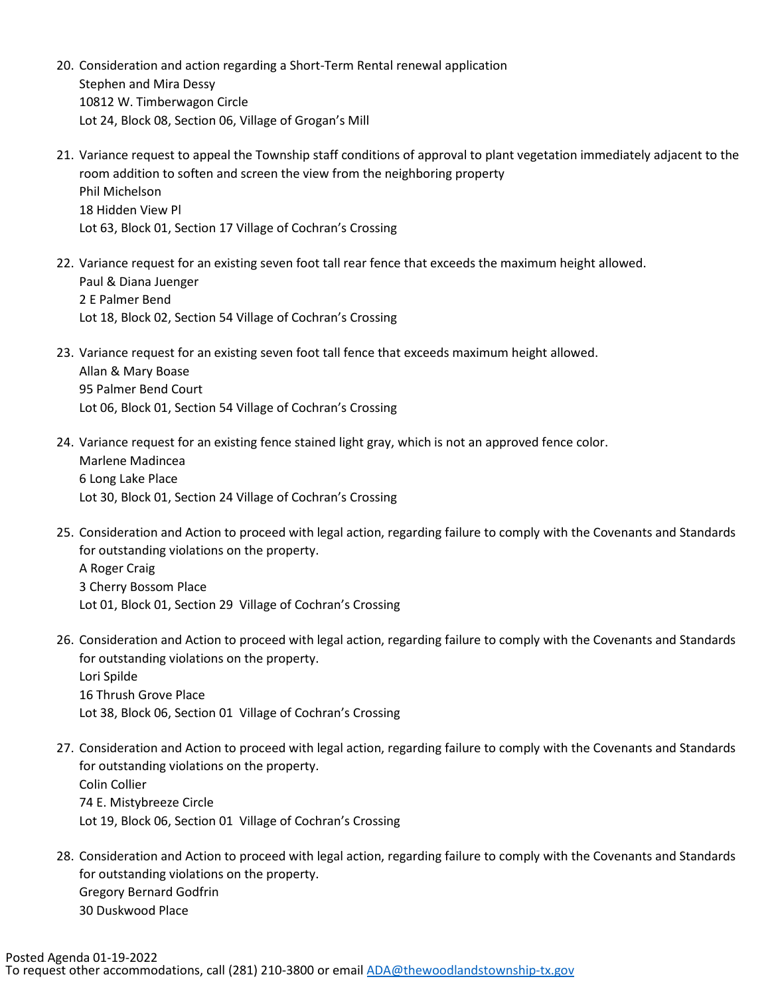- 20. Consideration and action regarding a Short-Term Rental renewal application Stephen and Mira Dessy 10812 W. Timberwagon Circle Lot 24, Block 08, Section 06, Village of Grogan's Mill
- 21. Variance request to appeal the Township staff conditions of approval to plant vegetation immediately adjacent to the room addition to soften and screen the view from the neighboring property Phil Michelson 18 Hidden View Pl Lot 63, Block 01, Section 17 Village of Cochran's Crossing
- 22. Variance request for an existing seven foot tall rear fence that exceeds the maximum height allowed. Paul & Diana Juenger 2 E Palmer Bend Lot 18, Block 02, Section 54 Village of Cochran's Crossing
- 23. Variance request for an existing seven foot tall fence that exceeds maximum height allowed. Allan & Mary Boase 95 Palmer Bend Court Lot 06, Block 01, Section 54 Village of Cochran's Crossing
- 24. Variance request for an existing fence stained light gray, which is not an approved fence color. Marlene Madincea 6 Long Lake Place Lot 30, Block 01, Section 24 Village of Cochran's Crossing
- 25. Consideration and Action to proceed with legal action, regarding failure to comply with the Covenants and Standards for outstanding violations on the property. A Roger Craig 3 Cherry Bossom Place Lot 01, Block 01, Section 29 Village of Cochran's Crossing
- 26. Consideration and Action to proceed with legal action, regarding failure to comply with the Covenants and Standards for outstanding violations on the property. Lori Spilde 16 Thrush Grove Place Lot 38, Block 06, Section 01 Village of Cochran's Crossing
- 27. Consideration and Action to proceed with legal action, regarding failure to comply with the Covenants and Standards for outstanding violations on the property. Colin Collier 74 E. Mistybreeze Circle Lot 19, Block 06, Section 01 Village of Cochran's Crossing
- 28. Consideration and Action to proceed with legal action, regarding failure to comply with the Covenants and Standards for outstanding violations on the property. Gregory Bernard Godfrin 30 Duskwood Place